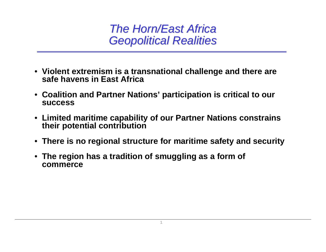## **The Horn/East Africa** *Geopolitical Realities Geopolitical Realities*

- **Violent extremism is a transnational challenge and there are safe havens in East Africa**
- **Coalition and Partner Nations' participation is critical to our success**
- **Limited maritime capability of our Partner Nations constrains their potential contribution**
- **There is no regional structure for maritime safety and security**
- **The region has a tradition of smuggling as a form of commerce**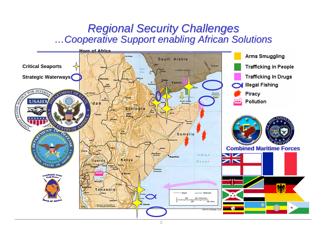## *Regional Security Challenges Regional Security Challenges …Cooperative Support enabling African Solutions Cooperative Support enabling African Solutions*

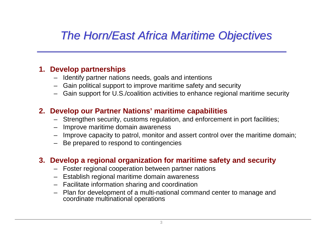# *The Horn/East Africa Maritime Objectives The Horn/East Africa Maritime Objectives*

### **1. Develop partnerships**

- Identify partner nations needs, goals and intentions
- Gain political support to improve maritime safety and security
- Gain support for U.S./coalition activities to enhance regional maritime security

### **2. Develop our Partner Nations' maritime capabilities**

- Strengthen security, customs regulation, and enforcement in port facilities;
- Improve maritime domain awareness
- Improve capacity to patrol, monitor and assert control over the maritime domain;
- Be prepared to respond to contingencies

### **3. Develop a regional organization for maritime safety and security**

- Foster regional cooperation between partner nations
- Establish regional maritime domain awareness
- Facilitate information sharing and coordination
- Plan for development of a multi-national command center to manage and coordinate multinational operations